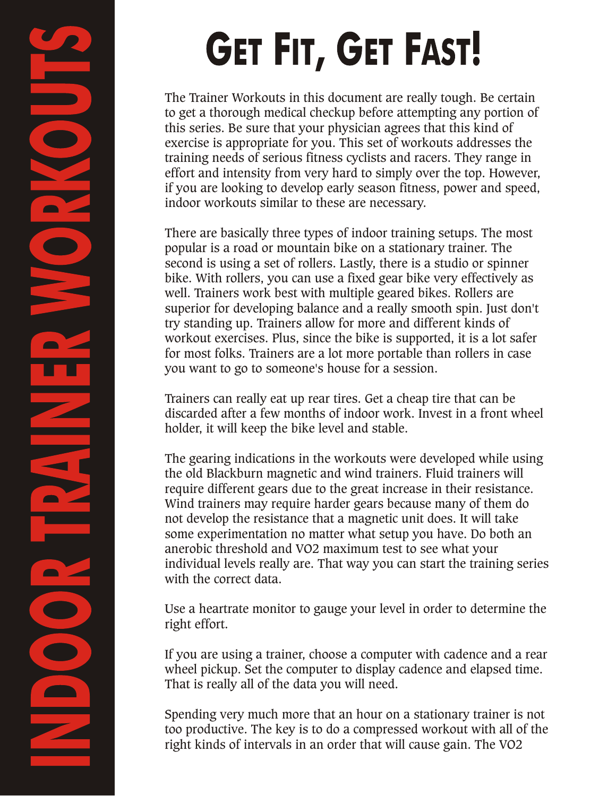# **GET FIT, GET FAST!**

The Trainer Workouts in this document are really tough. Be certain to get a thorough medical checkup before attempting any portion of this series. Be sure that your physician agrees that this kind of exercise is appropriate for you. This set of workouts addresses the training needs of serious fitness cyclists and racers. They range in effort and intensity from very hard to simply over the top. However, if you are looking to develop early season fitness, power and speed, indoor workouts similar to these are necessary.

There are basically three types of indoor training setups. The most popular is a road or mountain bike on a stationary trainer. The second is using a set of rollers. Lastly, there is a studio or spinner bike. With rollers, you can use a fixed gear bike very effectively as well. Trainers work best with multiple geared bikes. Rollers are superior for developing balance and a really smooth spin. Just don't try standing up. Trainers allow for more and different kinds of workout exercises. Plus, since the bike is supported, it is a lot safer for most folks. Trainers are a lot more portable than rollers in case you want to go to someone's house for a session.

Trainers can really eat up rear tires. Get a cheap tire that can be discarded after a few months of indoor work. Invest in a front wheel holder, it will keep the bike level and stable.

The gearing indications in the workouts were developed while using the old Blackburn magnetic and wind trainers. Fluid trainers will require different gears due to the great increase in their resistance. Wind trainers may require harder gears because many of them do not develop the resistance that a magnetic unit does. It will take some experimentation no matter what setup you have. Do both an anerobic threshold and VO2 maximum test to see what your individual levels really are. That way you can start the training series with the correct data.

Use a heartrate monitor to gauge your level in order to determine the right effort.

If you are using a trainer, choose a computer with cadence and a rear wheel pickup. Set the computer to display cadence and elapsed time. That is really all of the data you will need.

Spending very much more that an hour on a stationary trainer is not too productive. The key is to do a compressed workout with all of the right kinds of intervals in an order that will cause gain. The VO2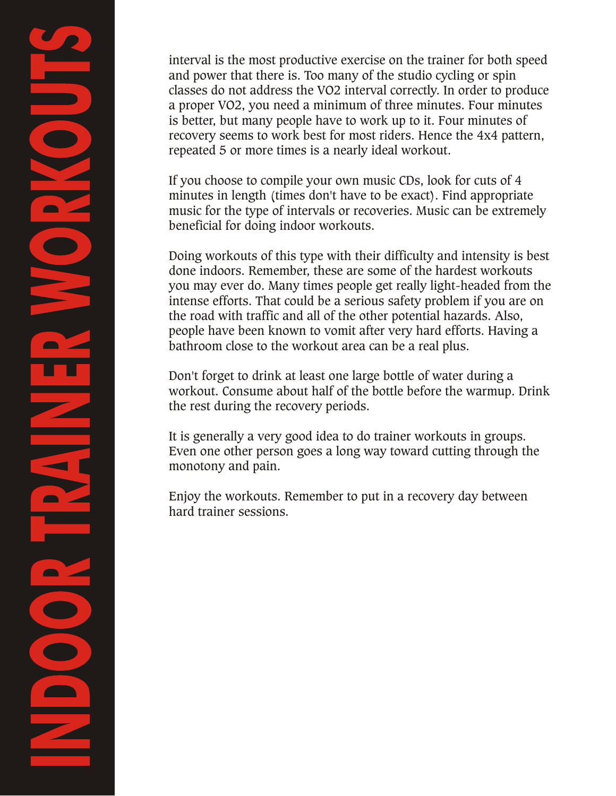interval is the most productive exercise on the trainer for both speed and power that there is. Too many of the studio cycling or spin classes do not address the VO2 interval correctly. In order to produce a proper VO2, you need a minimum of three minutes. Four minutes is better, but many people have to work up to it. Four minutes of recovery seems to work best for most riders. Hence the 4x4 pattern, repeated 5 or more times is a nearly ideal workout.

If you choose to compile your own music CDs, look for cuts of 4 minutes in length (times don't have to be exact). Find appropriate music for the type of intervals or recoveries. Music can be extremely beneficial for doing indoor workouts.

Doing workouts of this type with their difficulty and intensity is best done indoors. Remember, these are some of the hardest workouts you may ever do. Many times people get really light-headed from the intense efforts. That could be a serious safety problem if you are on the road with traffic and all of the other potential hazards. Also, people have been known to vomit after very hard efforts. Having a bathroom close to the workout area can be a real plus.

Don't forget to drink at least one large bottle of water during a workout. Consume about half of the bottle before the warmup. Drink the rest during the recovery periods.

It is generally a very good idea to do trainer workouts in groups. Even one other person goes a long way toward cutting through the monotony and pain.

Enjoy the workouts. Remember to put in a recovery day between hard trainer sessions.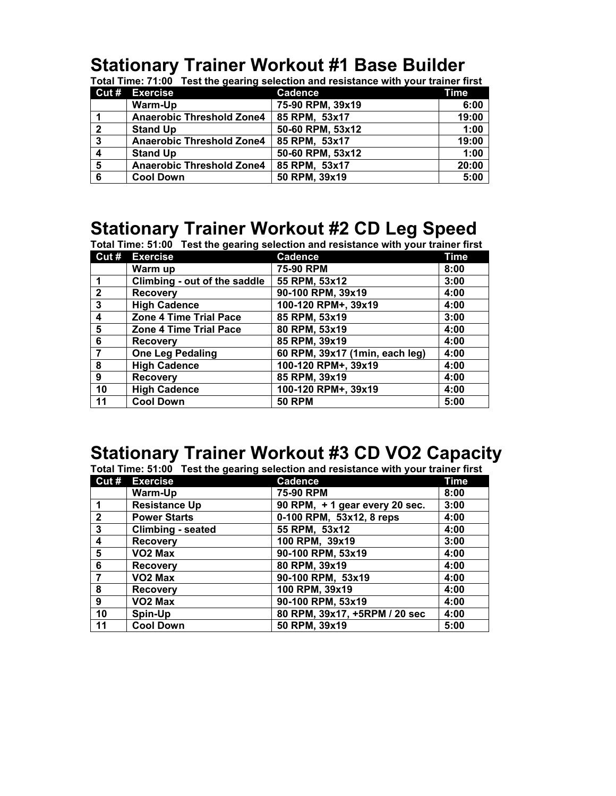## **Stationary Trainer Workout #1 Base Builder**

|                         | <b>Cut # Exercise</b>            | <b>Cadence</b>   | Time  |
|-------------------------|----------------------------------|------------------|-------|
|                         | Warm-Up                          | 75-90 RPM, 39x19 | 6:00  |
|                         | <b>Anaerobic Threshold Zone4</b> | 85 RPM, 53x17    | 19:00 |
| $\overline{2}$          | <b>Stand Up</b>                  | 50-60 RPM, 53x12 | 1:00  |
| 3                       | <b>Anaerobic Threshold Zone4</b> | 85 RPM, 53x17    | 19:00 |
| $\overline{\mathbf{4}}$ | <b>Stand Up</b>                  | 50-60 RPM, 53x12 | 1:00  |
| 5                       | <b>Anaerobic Threshold Zone4</b> | 85 RPM, 53x17    | 20:00 |
| 6                       | <b>Cool Down</b>                 | 50 RPM, 39x19    | 5:00  |

**Total Time: 71:00 Test the gearing selection and resistance with your trainer first** 

## **Stationary Trainer Workout #2 CD Leg Speed**

| Total Time: 51:00 Test the gearing selection and resistance with your trainer first |                               |                                |      |
|-------------------------------------------------------------------------------------|-------------------------------|--------------------------------|------|
|                                                                                     | Cut # Exercise                | <b>Cadence</b>                 | Time |
|                                                                                     | Warm up                       | 75-90 RPM                      | 8:00 |
|                                                                                     | Climbing - out of the saddle  | 55 RPM, 53x12                  | 3:00 |
| $\mathbf{2}$                                                                        | <b>Recovery</b>               | 90-100 RPM, 39x19              | 4:00 |
| 3                                                                                   | <b>High Cadence</b>           | 100-120 RPM+, 39x19            | 4:00 |
| 4                                                                                   | Zone 4 Time Trial Pace        | 85 RPM, 53x19                  | 3:00 |
| 5                                                                                   | <b>Zone 4 Time Trial Pace</b> | 80 RPM, 53x19                  | 4:00 |
| 6                                                                                   | <b>Recovery</b>               | 85 RPM, 39x19                  | 4:00 |
| 7                                                                                   | <b>One Leg Pedaling</b>       | 60 RPM, 39x17 (1min, each leg) | 4:00 |
| 8                                                                                   | <b>High Cadence</b>           | 100-120 RPM+, 39x19            | 4:00 |
| 9                                                                                   | <b>Recovery</b>               | 85 RPM, 39x19                  | 4:00 |
| 10                                                                                  | <b>High Cadence</b>           | 100-120 RPM+, 39x19            | 4:00 |
| 11                                                                                  | <b>Cool Down</b>              | <b>50 RPM</b>                  | 5:00 |

## **Stationary Trainer Workout #3 CD VO2 Capacity**

**Total Time: 51:00 Test the gearing selection and resistance with your trainer first**

|              | Cut # Exercise           | <b>Cadence</b>                | <b>Time</b> |
|--------------|--------------------------|-------------------------------|-------------|
|              | Warm-Up                  | 75-90 RPM                     | 8:00        |
|              | <b>Resistance Up</b>     | 90 RPM, +1 gear every 20 sec. | 3:00        |
| $\mathbf{2}$ | <b>Power Starts</b>      | 0-100 RPM, 53x12, 8 reps      | 4:00        |
| 3            | <b>Climbing - seated</b> | 55 RPM, 53x12                 | 4:00        |
| 4            | <b>Recovery</b>          | 100 RPM, 39x19                | 3:00        |
| 5            | VO <sub>2</sub> Max      | 90-100 RPM, 53x19             | 4:00        |
| 6            | <b>Recovery</b>          | 80 RPM, 39x19                 | 4:00        |
| 7            | VO <sub>2</sub> Max      | 90-100 RPM, 53x19             | 4:00        |
| 8            | <b>Recovery</b>          | 100 RPM, 39x19                | 4:00        |
| 9            | VO <sub>2</sub> Max      | 90-100 RPM, 53x19             | 4:00        |
| 10           | Spin-Up                  | 80 RPM, 39x17, +5RPM / 20 sec | 4:00        |
| 11           | <b>Cool Down</b>         | 50 RPM, 39x19                 | 5:00        |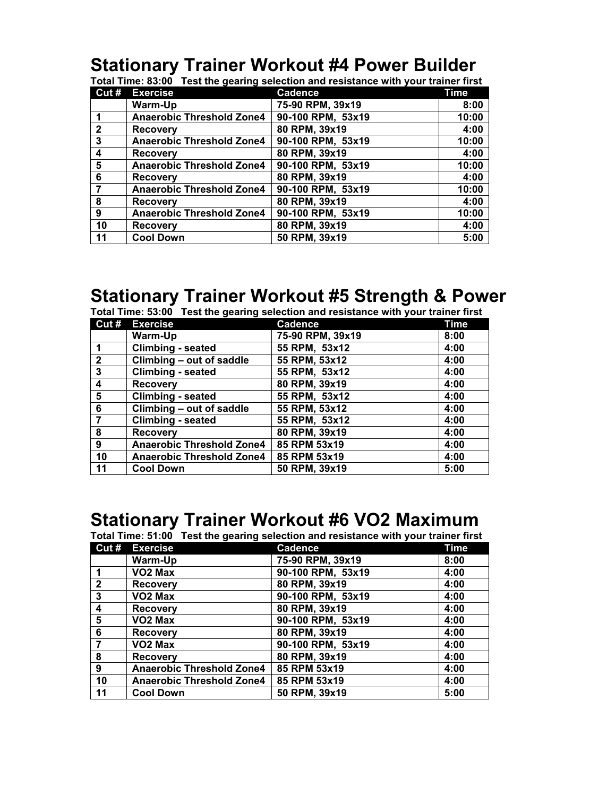# **Stationary Trainer Workout #4 Power Builder**

| Total Time: 83:00 Test the gearing selection and resistance with your trainer first |  |  |  |  |
|-------------------------------------------------------------------------------------|--|--|--|--|
|-------------------------------------------------------------------------------------|--|--|--|--|

| Cut#         | <b>Exercise</b>                  | <b>Cadence</b>    | Time  |
|--------------|----------------------------------|-------------------|-------|
|              | Warm-Up                          | 75-90 RPM, 39x19  | 8:00  |
|              | <b>Anaerobic Threshold Zone4</b> | 90-100 RPM, 53x19 | 10:00 |
| $\mathbf{2}$ | <b>Recovery</b>                  | 80 RPM, 39x19     | 4:00  |
| 3            | <b>Anaerobic Threshold Zone4</b> | 90-100 RPM, 53x19 | 10:00 |
| 4            | <b>Recovery</b>                  | 80 RPM, 39x19     | 4:00  |
| 5            | <b>Anaerobic Threshold Zone4</b> | 90-100 RPM, 53x19 | 10:00 |
| 6            | <b>Recovery</b>                  | 80 RPM, 39x19     | 4:00  |
|              | <b>Anaerobic Threshold Zone4</b> | 90-100 RPM, 53x19 | 10:00 |
| 8            | <b>Recovery</b>                  | 80 RPM, 39x19     | 4:00  |
| 9            | <b>Anaerobic Threshold Zone4</b> | 90-100 RPM, 53x19 | 10:00 |
| 10           | <b>Recovery</b>                  | 80 RPM, 39x19     | 4:00  |
| 11           | <b>Cool Down</b>                 | 50 RPM, 39x19     | 5:00  |

## **Stationary Trainer Workout #5 Strength & Power**

|                | Total Time: 53:00 Test the gearing selection and resistance with your trainer first |      |
|----------------|-------------------------------------------------------------------------------------|------|
| Cut # Exercise | Cadence                                                                             | Time |

| Cut#                    | <b>Exercise</b>                  | Cadence          | l ime |
|-------------------------|----------------------------------|------------------|-------|
|                         | Warm-Up                          | 75-90 RPM, 39x19 | 8:00  |
|                         | <b>Climbing - seated</b>         | 55 RPM, 53x12    | 4:00  |
| $\overline{2}$          | Climbing - out of saddle         | 55 RPM, 53x12    | 4:00  |
| 3                       | <b>Climbing - seated</b>         | 55 RPM, 53x12    | 4:00  |
| $\overline{\mathbf{4}}$ | <b>Recovery</b>                  | 80 RPM, 39x19    | 4:00  |
| 5                       | <b>Climbing - seated</b>         | 55 RPM, 53x12    | 4:00  |
| 6                       | Climbing - out of saddle         | 55 RPM, 53x12    | 4:00  |
|                         | <b>Climbing - seated</b>         | 55 RPM, 53x12    | 4:00  |
| 8                       | <b>Recovery</b>                  | 80 RPM, 39x19    | 4:00  |
| 9                       | <b>Anaerobic Threshold Zone4</b> | 85 RPM 53x19     | 4:00  |
| 10                      | <b>Anaerobic Threshold Zone4</b> | 85 RPM 53x19     | 4:00  |
| 11                      | <b>Cool Down</b>                 | 50 RPM, 39x19    | 5:00  |

# **Stationary Trainer Workout #6 VO2 Maximum**

| Total Time: 51:00 Test the gearing selection and resistance with your trainer first |                                  |                   |      |
|-------------------------------------------------------------------------------------|----------------------------------|-------------------|------|
|                                                                                     | Cut # Exercise                   | <b>Cadence</b>    | Time |
|                                                                                     | Warm-Up                          | 75-90 RPM, 39x19  | 8:00 |
|                                                                                     | VO2 Max                          | 90-100 RPM, 53x19 | 4:00 |
| $\overline{2}$                                                                      | <b>Recovery</b>                  | 80 RPM, 39x19     | 4:00 |
| $\mathbf{3}$                                                                        | VO <sub>2</sub> Max              | 90-100 RPM, 53x19 | 4:00 |
| 4                                                                                   | <b>Recovery</b>                  | 80 RPM, 39x19     | 4:00 |
| 5                                                                                   | VO <sub>2</sub> Max              | 90-100 RPM, 53x19 | 4:00 |
| 6                                                                                   | <b>Recovery</b>                  | 80 RPM, 39x19     | 4:00 |
| $\overline{7}$                                                                      | VO2 Max                          | 90-100 RPM, 53x19 | 4:00 |
| 8                                                                                   | <b>Recovery</b>                  | 80 RPM, 39x19     | 4:00 |
| 9                                                                                   | <b>Anaerobic Threshold Zone4</b> | 85 RPM 53x19      | 4:00 |
| 10                                                                                  | <b>Anaerobic Threshold Zone4</b> | 85 RPM 53x19      | 4:00 |
| 11                                                                                  | <b>Cool Down</b>                 | 50 RPM, 39x19     | 5:00 |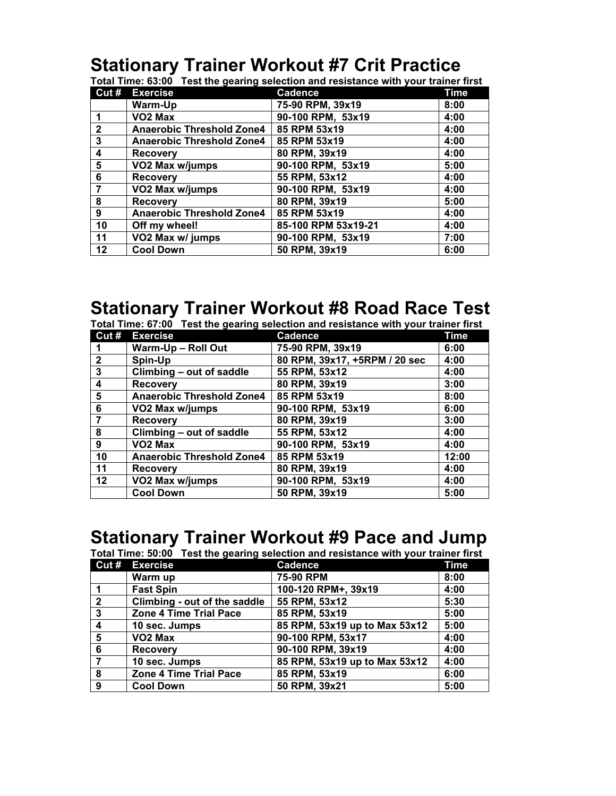## **Stationary Trainer Workout #7 Crit Practice**

**Total Time: 63:00 Test the gearing selection and resistance with your trainer first**

| Cut#         | <b>Exercise</b>                  | <b>Cadence</b>      | <b>Time</b> |
|--------------|----------------------------------|---------------------|-------------|
|              | Warm-Up                          | 75-90 RPM, 39x19    | 8:00        |
|              | VO <sub>2</sub> Max              | 90-100 RPM, 53x19   | 4:00        |
| $\mathbf{2}$ | <b>Anaerobic Threshold Zone4</b> | 85 RPM 53x19        | 4:00        |
| 3            | <b>Anaerobic Threshold Zone4</b> | 85 RPM 53x19        | 4:00        |
| 4            | <b>Recovery</b>                  | 80 RPM, 39x19       | 4:00        |
| 5            | VO2 Max w/jumps                  | 90-100 RPM, 53x19   | 5:00        |
| 6            | <b>Recovery</b>                  | 55 RPM, 53x12       | 4:00        |
|              | VO2 Max w/jumps                  | 90-100 RPM, 53x19   | 4:00        |
| 8            | <b>Recovery</b>                  | 80 RPM, 39x19       | 5:00        |
| 9            | <b>Anaerobic Threshold Zone4</b> | 85 RPM 53x19        | 4:00        |
| 10           | Off my wheel!                    | 85-100 RPM 53x19-21 | 4:00        |
| 11           | VO2 Max w/ jumps                 | 90-100 RPM, 53x19   | 7:00        |
| 12           | <b>Cool Down</b>                 | 50 RPM, 39x19       | 6:00        |

#### **Stationary Trainer Workout #8 Road Race Test**

**Total Time: 67:00 Test the gearing selection and resistance with your trainer first**

|                         | Cut # Exercise                   | <b>Cadence</b>                | Time  |
|-------------------------|----------------------------------|-------------------------------|-------|
|                         | Warm-Up - Roll Out               | 75-90 RPM, 39x19              | 6:00  |
| $\mathbf{2}$            | Spin-Up                          | 80 RPM, 39x17, +5RPM / 20 sec | 4:00  |
| $\mathbf{3}$            | Climbing - out of saddle         | 55 RPM, 53x12                 | 4:00  |
| $\overline{\mathbf{4}}$ | <b>Recovery</b>                  | 80 RPM, 39x19                 | 3:00  |
| 5                       | <b>Anaerobic Threshold Zone4</b> | 85 RPM 53x19                  | 8:00  |
| 6                       | VO2 Max w/jumps                  | 90-100 RPM, 53x19             | 6:00  |
|                         | <b>Recovery</b>                  | 80 RPM, 39x19                 | 3:00  |
| 8                       | Climbing - out of saddle         | 55 RPM, 53x12                 | 4:00  |
| 9                       | VO <sub>2</sub> Max              | 90-100 RPM, 53x19             | 4:00  |
| 10                      | <b>Anaerobic Threshold Zone4</b> | 85 RPM 53x19                  | 12:00 |
| 11                      | <b>Recovery</b>                  | 80 RPM, 39x19                 | 4:00  |
| 12                      | VO2 Max w/jumps                  | 90-100 RPM, 53x19             | 4:00  |
|                         | <b>Cool Down</b>                 | 50 RPM, 39x19                 | 5:00  |

## **Stationary Trainer Workout #9 Pace and Jump**

| Total Time: 50:00 Test the gearing selection and resistance with your trainer first |                               |                               |      |
|-------------------------------------------------------------------------------------|-------------------------------|-------------------------------|------|
|                                                                                     | Cut # Exercise                | <b>Cadence</b>                | Time |
|                                                                                     | Warm up                       | 75-90 RPM                     | 8:00 |
|                                                                                     | <b>Fast Spin</b>              | 100-120 RPM+, 39x19           | 4:00 |
| $\overline{2}$                                                                      | Climbing - out of the saddle  | 55 RPM, 53x12                 | 5:30 |
| $\mathbf{3}$                                                                        | <b>Zone 4 Time Trial Pace</b> | 85 RPM, 53x19                 | 5:00 |
| $\overline{\mathbf{4}}$                                                             | 10 sec. Jumps                 | 85 RPM, 53x19 up to Max 53x12 | 5:00 |
| 5                                                                                   | VO <sub>2</sub> Max           | 90-100 RPM, 53x17             | 4:00 |
| 6                                                                                   | <b>Recovery</b>               | 90-100 RPM, 39x19             | 4:00 |
|                                                                                     | 10 sec. Jumps                 | 85 RPM, 53x19 up to Max 53x12 | 4:00 |
| 8                                                                                   | Zone 4 Time Trial Pace        | 85 RPM, 53x19                 | 6:00 |
| 9                                                                                   | <b>Cool Down</b>              | 50 RPM, 39x21                 | 5:00 |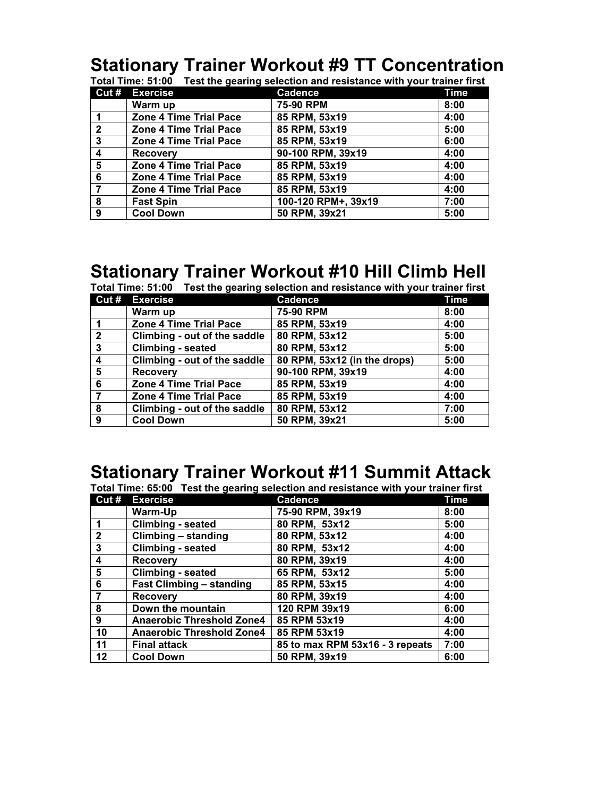# **Stationary Trainer Workout #9 TT Concentration**

|                | Cut # Exercise                | <b>Cadence</b>      | <b>Time</b> |
|----------------|-------------------------------|---------------------|-------------|
|                | Warm up                       | 75-90 RPM           | 8:00        |
|                | <b>Zone 4 Time Trial Pace</b> | 85 RPM, 53x19       | 4:00        |
| $\overline{2}$ | <b>Zone 4 Time Trial Pace</b> | 85 RPM, 53x19       | 5:00        |
| $\mathbf{3}$   | <b>Zone 4 Time Trial Pace</b> | 85 RPM, 53x19       | 6:00        |
| 4              | <b>Recovery</b>               | 90-100 RPM, 39x19   | 4:00        |
| 5              | <b>Zone 4 Time Trial Pace</b> | 85 RPM, 53x19       | 4:00        |
| 6              | <b>Zone 4 Time Trial Pace</b> | 85 RPM, 53x19       | 4:00        |
|                | <b>Zone 4 Time Trial Pace</b> | 85 RPM, 53x19       | 4:00        |
| 8              | <b>Fast Spin</b>              | 100-120 RPM+, 39x19 | 7:00        |
| 9              | <b>Cool Down</b>              | 50 RPM, 39x21       | 5:00        |

## **Stationary Trainer Workout #10 Hill Climb Hell**

| Total Time: 51:00 Test the gearing selection and resistance with your trainer first |                               |                              |      |
|-------------------------------------------------------------------------------------|-------------------------------|------------------------------|------|
|                                                                                     | Cut # Exercise                | <b>Cadence</b>               | Time |
|                                                                                     | Warm up                       | 75-90 RPM                    | 8:00 |
|                                                                                     | <b>Zone 4 Time Trial Pace</b> | 85 RPM, 53x19                | 4:00 |
| $\overline{2}$                                                                      | Climbing - out of the saddle  | 80 RPM, 53x12                | 5:00 |
| $\mathbf{3}$                                                                        | <b>Climbing - seated</b>      | 80 RPM, 53x12                | 5:00 |
| $\overline{\mathbf{4}}$                                                             | Climbing - out of the saddle  | 80 RPM, 53x12 (in the drops) | 5:00 |
| 5                                                                                   | <b>Recovery</b>               | 90-100 RPM, 39x19            | 4:00 |
| 6                                                                                   | <b>Zone 4 Time Trial Pace</b> | 85 RPM, 53x19                | 4:00 |
| 7                                                                                   | <b>Zone 4 Time Trial Pace</b> | 85 RPM, 53x19                | 4:00 |
| 8                                                                                   | Climbing - out of the saddle  | 80 RPM, 53x12                | 7:00 |
| 9                                                                                   | <b>Cool Down</b>              | 50 RPM, 39x21                | 5:00 |

### **Stationary Trainer Workout #11 Summit Attack**

**Total Time: 65:00 Test the gearing selection and resistance with your trainer first**

| Cut#                    | <b>Exercise</b>                  | <b>Cadence</b>                  | Time |
|-------------------------|----------------------------------|---------------------------------|------|
|                         | Warm-Up                          | 75-90 RPM, 39x19                | 8:00 |
| $\blacktriangleleft$    | <b>Climbing - seated</b>         | 80 RPM, 53x12                   | 5:00 |
| $\overline{2}$          | Climbing - standing              | 80 RPM, 53x12                   | 4:00 |
| $\mathbf{3}$            | <b>Climbing - seated</b>         | 80 RPM, 53x12                   | 4:00 |
| $\overline{\mathbf{4}}$ | <b>Recovery</b>                  | 80 RPM, 39x19                   | 4:00 |
| $5\phantom{1}$          | <b>Climbing - seated</b>         | 65 RPM, 53x12                   | 5:00 |
| 6                       | <b>Fast Climbing - standing</b>  | 85 RPM, 53x15                   | 4:00 |
| $\overline{7}$          | <b>Recovery</b>                  | 80 RPM, 39x19                   | 4:00 |
| 8                       | Down the mountain                | 120 RPM 39x19                   | 6:00 |
| $\mathbf{9}$            | <b>Anaerobic Threshold Zone4</b> | 85 RPM 53x19                    | 4:00 |
| 10                      | <b>Anaerobic Threshold Zone4</b> | 85 RPM 53x19                    | 4:00 |
| 11                      | <b>Final attack</b>              | 85 to max RPM 53x16 - 3 repeats | 7:00 |
| 12                      | <b>Cool Down</b>                 | 50 RPM, 39x19                   | 6:00 |